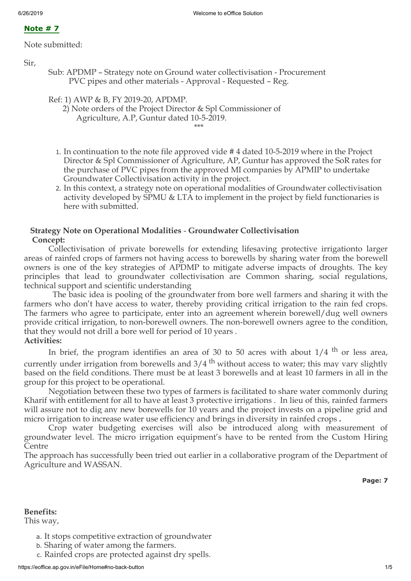# **Note # 7**

Note submitted:

Sir,

Sub: APDMP – Strategy note on Ground water collectivisation - Procurement PVC pipes and other materials - Approval - Requested – Reg.

```
Ref: 1) AWP & B, FY 2019-20, APDMP.
```
 2) Note orders of the Project Director & Spl Commissioner of Agriculture, A.P, Guntur dated 10-5-2019.

\*\*\*\*

- 1. In continuation to the note file approved vide # 4 dated 10-5-2019 where in the Project Director & Spl Commissioner of Agriculture, AP, Guntur has approved the SoR rates for the purchase of PVC pipes from the approved MI companies by APMIP to undertake Groundwater Collectivisation activity in the project.
- 2. In this context, a strategy note on operational modalities of Groundwater collectivisation activity developed by SPMU & LTA to implement in the project by field functionaries is here with submitted.

# **Strategy Note on Operational Modalities** - **Groundwater Collectivisation Concept:**

Collectivisation of private borewells for extending lifesaving protective irrigationto larger areas of rainfed crops of farmers not having access to borewells by sharing water from the borewell owners is one of the key strategies of APDMP to mitigate adverse impacts of droughts. The key principles that lead to groundwater collectivisation are Common sharing, social regulations, technical support and scientific understanding

The basic idea is pooling of the groundwater from bore well farmers and sharing it with the farmers who don't have access to water, thereby providing critical irrigation to the rain fed crops. The farmers who agree to participate, enter into an agreement wherein borewell/dug well owners provide critical irrigation, to non-borewell owners. The non-borewell owners agree to the condition, that they would not drill a bore well for period of 10 years . **Activities:**

In brief, the program identifies an area of 30 to 50 acres with about  $1/4$  <sup>th</sup> or less area, currently under irrigation from borewells and  $3/4$ <sup>th</sup> without access to water; this may vary slightly based on the field conditions. There must be at least 3 borewells and at least 10 farmers in all in the group for this project to be operational.

Negotiation between these two types of farmers is facilitated to share water commonly during Kharif with entitlement for all to have at least 3 protective irrigations . In lieu of this, rainfed farmers will assure not to dig any new borewells for 10 years and the project invests on a pipeline grid and micro irrigation to increase water use efficiency and brings in diversity in rainfed crops **.**

Crop water budgeting exercises will also be introduced along with measurement of groundwater level. The micro irrigation equipment's have to be rented from the Custom Hiring Centre

The approach has successfully been tried out earlier in a collaborative program of the Department of Agriculture and WASSAN.

**Page: 7**

# **Benefits:**

This way,

- a. It stops competitive extraction of groundwater
- b. Sharing of water among the farmers.
- c. Rainfed crops are protected against dry spells.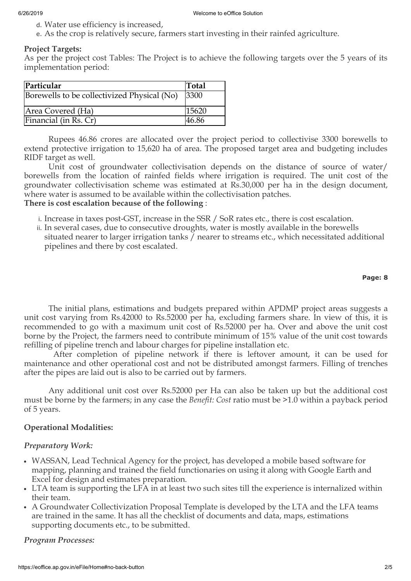- d. Water use efficiency is increased,
- e. As the crop is relatively secure, farmers start investing in their rainfed agriculture.

## **Project Targets:**

As per the project cost Tables: The Project is to achieve the following targets over the 5 years of its implementation period:

| Particular                                  | Total |
|---------------------------------------------|-------|
| Borewells to be collectivized Physical (No) | 3300  |
| Area Covered (Ha)                           | 15620 |
| Financial (in Rs. Cr)                       | 46.86 |

Rupees 46.86 crores are allocated over the project period to collectivise 3300 borewells to extend protective irrigation to 15,620 ha of area. The proposed target area and budgeting includes RIDF target as well.

Unit cost of groundwater collectivisation depends on the distance of source of water/ borewells from the location of rainfed fields where irrigation is required. The unit cost of the groundwater collectivisation scheme was estimated at Rs.30,000 per ha in the design document, where water is assumed to be available within the collectivisation patches.

# **There is cost escalation because of the following** :

- i. Increase in taxes post-GST, increase in the SSR / SoR rates etc., there is cost escalation.
- ii. In several cases, due to consecutive droughts, water is mostly available in the borewells situated nearer to larger irrigation tanks / nearer to streams etc., which necessitated additional pipelines and there by cost escalated.

## **Page: 8**

The initial plans, estimations and budgets prepared within APDMP project areas suggests a unit cost varying from Rs.42000 to Rs.52000 per ha, excluding farmers share. In view of this, it is recommended to go with a maximum unit cost of Rs.52000 per ha. Over and above the unit cost borne by the Project, the farmers need to contribute minimum of 15% value of the unit cost towards refilling of pipeline trench and labour charges for pipeline installation etc.

After completion of pipeline network if there is leftover amount, it can be used for maintenance and other operational cost and not be distributed amongst farmers. Filling of trenches after the pipes are laid out is also to be carried out by farmers.

Any additional unit cost over Rs.52000 per Ha can also be taken up but the additional cost must be borne by the farmers; in any case the *Benefit: Cost* ratio must be >1.0 within a payback period of 5 years.

# **Operational Modalities:**

# *Preparatory Work:*

- WASSAN, Lead Technical Agency for the project, has developed a mobile based software for mapping, planning and trained the field functionaries on using it along with Google Earth and Excel for design and estimates preparation.
- LTA team is supporting the LFA in at least two such sites till the experience is internalized within their team.
- A Groundwater Collectivization Proposal Template is developed by the LTA and the LFA teams are trained in the same. It has all the checklist of documents and data, maps, estimations supporting documents etc., to be submitted.

# *Program Processes:*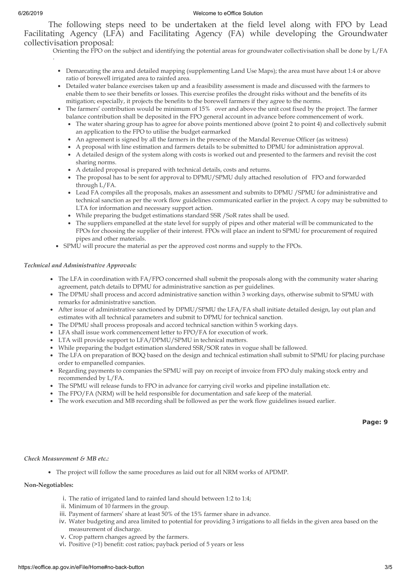.

#### 6/26/2019 Welcome to eOffice Solution

The following steps need to be undertaken at the field level along with FPO by Lead Facilitating Agency (LFA) and Facilitating Agency (FA) while developing the Groundwater collectivisation proposal:

Orienting the FPO on the subject and identifying the potential areas for groundwater collectivisation shall be done by L/FA

- Demarcating the area and detailed mapping (supplementing Land Use Maps); the area must have about 1:4 or above ratio of borewell irrigated area to rainfed area.
- Detailed water balance exercises taken up and a feasibility assessment is made and discussed with the farmers to enable them to see their benefits or losses. This exercise profiles the drought risks without and the benefits of its mitigation; especially, it projects the benefits to the borewell farmers if they agree to the norms.
- The farmers' contribution would be minimum of 15% over and above the unit cost fixed by the project. The farmer balance contribution shall be deposited in the FPO general account in advance before commencement of work.
	- The water sharing group has to agree for above points mentioned above (point 2 to point 4) and collectively submit an application to the FPO to utilise the budget earmarked
	- An agreement is signed by all the farmers in the presence of the Mandal Revenue Officer (as witness)
	- A proposal with line estimation and farmers details to be submitted to DPMU for administration approval.
	- A detailed design of the system along with costs is worked out and presented to the farmers and revisit the cost sharing norms.
	- A detailed proposal is prepared with technical details, costs and returns.
	- The proposal has to be sent for approval to DPMU/SPMU duly attached resolution of FPO and forwarded through L/FA.
	- Lead FA compiles all the proposals, makes an assessment and submits to DPMU /SPMU for administrative and technical sanction as per the work flow guidelines communicated earlier in the project. A copy may be submitted to LTA for information and necessary support action.
	- While preparing the budget estimations standard SSR /SoR rates shall be used.
	- The suppliers empanelled at the state level for supply of pipes and other material will be communicated to the FPOs for choosing the supplier of their interest. FPOs will place an indent to SPMU for procurement of required pipes and other materials.
- SPMU will procure the material as per the approved cost norms and supply to the FPOs.

## *Technical and Administrative Approvals:*

- The LFA in coordination with FA/FPO concerned shall submit the proposals along with the community water sharing agreement, patch details to DPMU for administrative sanction as per guidelines.
- The DPMU shall process and accord administrative sanction within 3 working days, otherwise submit to SPMU with remarks for administrative sanction.
- After issue of administrative sanctioned by DPMU/SPMU the LFA/FA shall initiate detailed design, lay out plan and estimates with all technical parameters and submit to DPMU for technical sanction.
- The DPMU shall process proposals and accord technical sanction within 5 working days.
- LFA shall issue work commencement letter to FPO/FA for execution of work.
- LTA will provide support to LFA/DPMU/SPMU in technical matters.
- While preparing the budget estimation slandered SSR/SOR rates in vogue shall be fallowed.
- The LFA on preparation of BOQ based on the design and technical estimation shall submit to SPMU for placing purchase order to empanelled companies.
- Regarding payments to companies the SPMU will pay on receipt of invoice from FPO duly making stock entry and recommended by L/FA.
- The SPMU will release funds to FPO in advance for carrying civil works and pipeline installation etc.
- The FPO/FA (NRM) will be held responsible for documentation and safe keep of the material.
- The work execution and MB recording shall be followed as per the work flow guidelines issued earlier.

#### *Check Measurement & MB etc.:*

The project will follow the same procedures as laid out for all NRM works of APDMP.

#### **Non-Negotiables:**

- i. The ratio of irrigated land to rainfed land should between 1:2 to 1:4;
- ii. Minimum of 10 farmers in the group.
- iii. Payment of farmers' share at least 50% of the 15% farmer share in advance.
- iv. Water budgeting and area limited to potential for providing 3 irrigations to all fields in the given area based on the measurement of discharge.
- v. Crop pattern changes agreed by the farmers.
- vi. Positive (>1) benefit: cost ratios; payback period of 5 years or less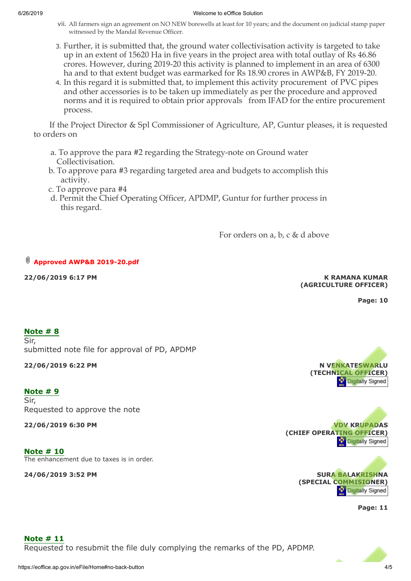#### 6/26/2019 Welcome to eOffice Solution

- vii. All farmers sign an agreement on NO NEW borewells at least for 10 years; and the document on judicial stamp paper witnessed by the Mandal Revenue Officer.
- 3. Further, it is submitted that, the ground water collectivisation activity is targeted to take up in an extent of 15620 Ha in five years in the project area with total outlay of Rs 46.86 crores. However, during 2019-20 this activity is planned to implement in an area of 6300 ha and to that extent budget was earmarked for Rs 18.90 crores in AWP&B, FY 2019-20.
- 4. In this regard it is submitted that, to implement this activity procurement of PVC pipes and other accessories is to be taken up immediately as per the procedure and approved norms and it is required to obtain prior approvals from IFAD for the entire procurement process.

If the Project Director & Spl Commissioner of Agriculture, AP, Guntur pleases, it is requested to orders on

- a. To approve the para #2 regarding the Strategy-note on Ground water Collectivisation.
- b. To approve para #3 regarding targeted area and budgets to accomplish this activity.
- c. To approve para #4
- d. Permit the Chief Operating Officer, APDMP, Guntur for further process in this regard.

For orders on a, b, c & d above

# **[Approved AWP&B 2019-20.pdf](javascript:openAttachments("note=NDU3OTE6OTg1NDI3NToyMTQyNzg="))**

**22/06/2019 6:17 PM**

## **K RAMANA KUMAR (AGRICULTURE OFFICER)**

**Page: 10**

# **Note # 8**

Sir, submitted note file for approval of PD, APDMP

## **22/06/2019 6:22 PM**

# **Note # 9**

Sir, Requested to approve the note

**22/06/2019 6:30 PM**

**Note # 10** The enhancement due to taxes is in order.

**24/06/2019 3:52 PM**







**Page: 11**